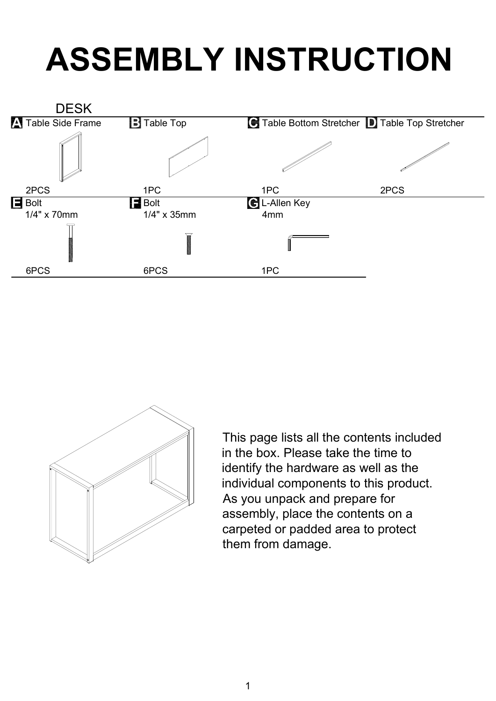## **ASSEMBLY INSTRUCTION**





This page lists all the contents included in the box. Please take the time to identify the hardware as well as the individual components to this product. As you unpack and prepare for assembly, place the contents on a carpeted or padded area to protect them from damage.